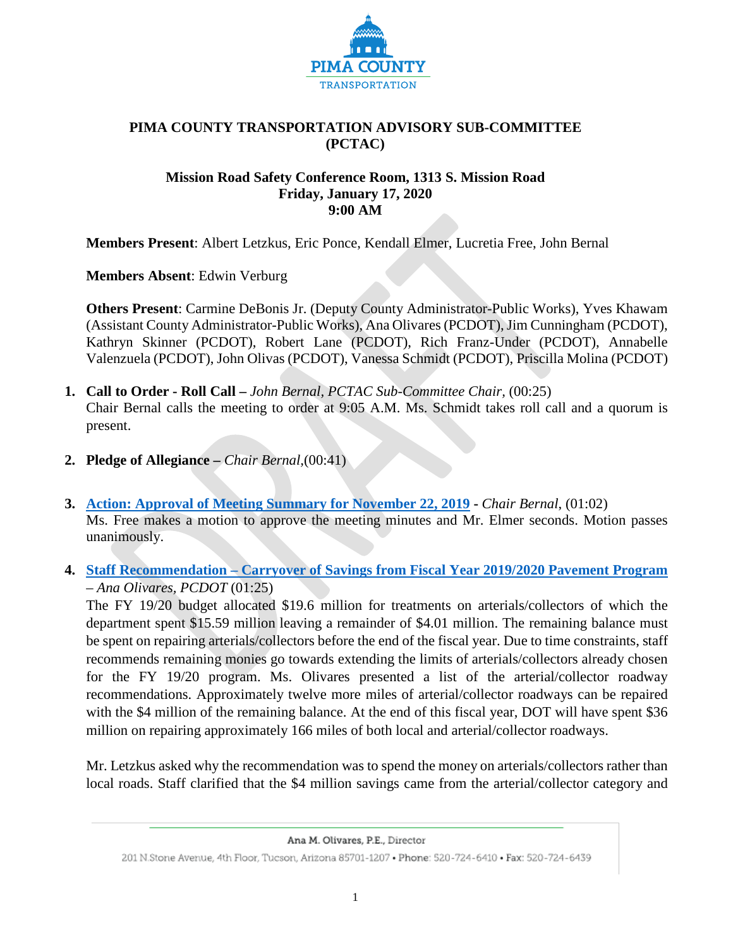

## **PIMA COUNTY TRANSPORTATION ADVISORY SUB-COMMITTEE (PCTAC)**

## **Mission Road Safety Conference Room, 1313 S. Mission Road Friday, January 17, 2020 9:00 AM**

**Members Present**: Albert Letzkus, Eric Ponce, Kendall Elmer, Lucretia Free, John Bernal

**Members Absent**: Edwin Verburg

**Others Present**: Carmine DeBonis Jr. (Deputy County Administrator-Public Works), Yves Khawam (Assistant County Administrator-Public Works), Ana Olivares (PCDOT), Jim Cunningham (PCDOT), Kathryn Skinner (PCDOT), Robert Lane (PCDOT), Rich Franz-Under (PCDOT), Annabelle Valenzuela (PCDOT), John Olivas (PCDOT), Vanessa Schmidt (PCDOT), Priscilla Molina (PCDOT)

- **1. Call to Order - Roll Call –** *John Bernal, PCTAC Sub-Committee Chair,* (00:25) Chair Bernal calls the meeting to order at 9:05 A.M. Ms. Schmidt takes roll call and a quorum is present.
- **2. Pledge of Allegiance –** *Chair Bernal,*(00:41)
- **3. [Action: Approval of Meeting Summary for November 22, 2019](file://Central.pima.gov/CentralFS/DOT/Support%20Svs/PCTAC%20Main%20File/5.%20%20Subcommittee%20Meetings/Nov.22/Draft_20191122_%20PCTAC%20Subcommittee%20Meeting%20Summary-final%20draft.pdf) -** *Chair Bernal*, (01:02) Ms. Free makes a motion to approve the meeting minutes and Mr. Elmer seconds. Motion passes unanimously.
- **4. Staff Recommendation – Carryover of Savings from Fiscal Year 2019/2020 Pavement Program** – *Ana Olivares, PCDOT* (01:25)

The FY 19/20 budget allocated \$19.6 million for treatments on arterials/collectors of which the department spent \$15.59 million leaving a remainder of \$4.01 million. The remaining balance must be spent on repairing arterials/collectors before the end of the fiscal year. Due to time constraints, staff recommends remaining monies go towards extending the limits of arterials/collectors already chosen for the FY 19/20 program. Ms. Olivares presented a list of the arterial/collector roadway recommendations. Approximately twelve more miles of arterial/collector roadways can be repaired with the \$4 million of the remaining balance. At the end of this fiscal year, DOT will have spent \$36 million on repairing approximately 166 miles of both local and arterial/collector roadways.

Mr. Letzkus asked why the recommendation was to spend the money on arterials/collectors rather than local roads. Staff clarified that the \$4 million savings came from the arterial/collector category and

Ana M. Olivares, P.E., Director

<sup>201</sup> N.Stone Avenue, 4th Floor, Tucson, Arizona 85701-1207 . Phone: 520-724-6410 . Fax: 520-724-6439